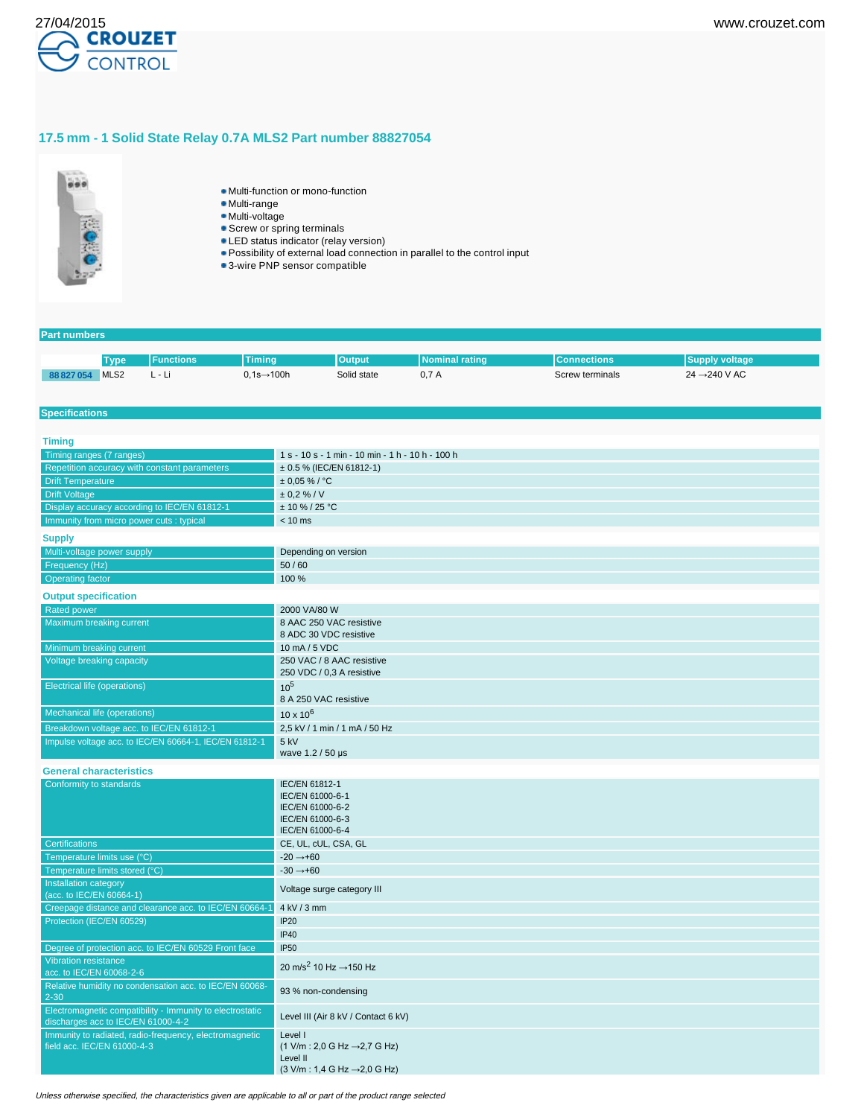

## **17.5 mm - 1 Solid State Relay 0.7A MLS2 Part number 88827054**



- Multi-function or mono-function
- Multi-range
- Multi-voltage
- **Screw or spring terminals**
- LED status indicator (relay version)
- Possibility of external load connection in parallel to the control input
- 3-wire PNP sensor compatible

### **Part numbers**

| Tvpe                              | tions | . mino                         | <b>Output</b> | aun     | шин                         | ли                                                       |
|-----------------------------------|-------|--------------------------------|---------------|---------|-----------------------------|----------------------------------------------------------|
| MLS <sub>2</sub><br>$\sim$ $\sim$ | . L.  | 100h<br>0.1s—<br>$\sim$ $\sim$ | Solid state   | U, I, A | Screw terminals<br>$\cdots$ | $-240$ V AC<br>24<br>the contract of the contract of the |

#### **Specifications**

| <b>Timing</b>                                                                                   |                                                                                                                                                              |
|-------------------------------------------------------------------------------------------------|--------------------------------------------------------------------------------------------------------------------------------------------------------------|
| Timing ranges (7 ranges)                                                                        | 1 s - 10 s - 1 min - 10 min - 1 h - 10 h - 100 h                                                                                                             |
| Repetition accuracy with constant parameters                                                    | ± 0.5 % (IEC/EN 61812-1)                                                                                                                                     |
| <b>Drift Temperature</b>                                                                        | $± 0,05 \%$ / °C                                                                                                                                             |
| <b>Drift Voltage</b>                                                                            | $± 0.2 \% / V$                                                                                                                                               |
| Display accuracy according to IEC/EN 61812-1                                                    | $± 10 \% / 25 °C$                                                                                                                                            |
| Immunity from micro power cuts : typical                                                        | $< 10$ ms                                                                                                                                                    |
| <b>Supply</b>                                                                                   |                                                                                                                                                              |
| Multi-voltage power supply                                                                      | Depending on version                                                                                                                                         |
| Frequency (Hz)                                                                                  | 50/60                                                                                                                                                        |
| <b>Operating factor</b>                                                                         | 100 %                                                                                                                                                        |
| <b>Output specification</b>                                                                     |                                                                                                                                                              |
| <b>Rated power</b>                                                                              | 2000 VA/80 W                                                                                                                                                 |
| Maximum breaking current                                                                        | 8 AAC 250 VAC resistive<br>8 ADC 30 VDC resistive                                                                                                            |
| Minimum breaking current                                                                        | 10 mA / 5 VDC                                                                                                                                                |
| Voltage breaking capacity                                                                       | 250 VAC / 8 AAC resistive<br>250 VDC / 0,3 A resistive                                                                                                       |
| <b>Electrical life (operations)</b>                                                             | $10^{5}$<br>8 A 250 VAC resistive                                                                                                                            |
| Mechanical life (operations)                                                                    | $10 \times 10^{6}$                                                                                                                                           |
| Breakdown voltage acc. to IEC/EN 61812-1                                                        | 2,5 kV / 1 min / 1 mA / 50 Hz                                                                                                                                |
| Impulse voltage acc. to IEC/EN 60664-1, IEC/EN 61812-1                                          | 5 kV<br>wave 1.2 / 50 µs                                                                                                                                     |
| <b>General characteristics</b>                                                                  |                                                                                                                                                              |
| Conformity to standards                                                                         | IEC/EN 61812-1<br>IEC/EN 61000-6-1<br>IEC/EN 61000-6-2<br>IEC/EN 61000-6-3<br>IEC/EN 61000-6-4                                                               |
| <b>Certifications</b>                                                                           | CE, UL, cUL, CSA, GL                                                                                                                                         |
| Temperature limits use (°C)                                                                     | $-20 \rightarrow +60$                                                                                                                                        |
| Temperature limits stored (°C)                                                                  | $-30 \rightarrow +60$                                                                                                                                        |
| Installation category<br>(acc. to IEC/EN 60664-1)                                               | Voltage surge category III                                                                                                                                   |
| Creepage distance and clearance acc. to IEC/EN 60664-1                                          | 4 kV / 3 mm                                                                                                                                                  |
| Protection (IEC/EN 60529)                                                                       | <b>IP20</b>                                                                                                                                                  |
|                                                                                                 | <b>IP40</b>                                                                                                                                                  |
| Degree of protection acc. to IEC/EN 60529 Front face                                            | <b>IP50</b>                                                                                                                                                  |
| <b>Vibration resistance</b><br>acc. to IEC/EN 60068-2-6                                         | 20 m/s <sup>2</sup> 10 Hz $\rightarrow$ 150 Hz                                                                                                               |
| Relative humidity no condensation acc. to IEC/EN 60068-<br>$2 - 30$                             | 93 % non-condensing                                                                                                                                          |
| Electromagnetic compatibility - Immunity to electrostatic<br>discharges acc to IEC/EN 61000-4-2 | Level III (Air 8 kV / Contact 6 kV)                                                                                                                          |
| Immunity to radiated, radio-frequency, electromagnetic<br>field acc. IEC/EN 61000-4-3           | Level I<br>$(1 \text{ V/m} : 2,0 \text{ G Hz} \rightarrow 2,7 \text{ G Hz})$<br>Level II<br>$(3 \text{ V/m}: 1.4 \text{ G Hz} \rightarrow 2.0 \text{ G Hz})$ |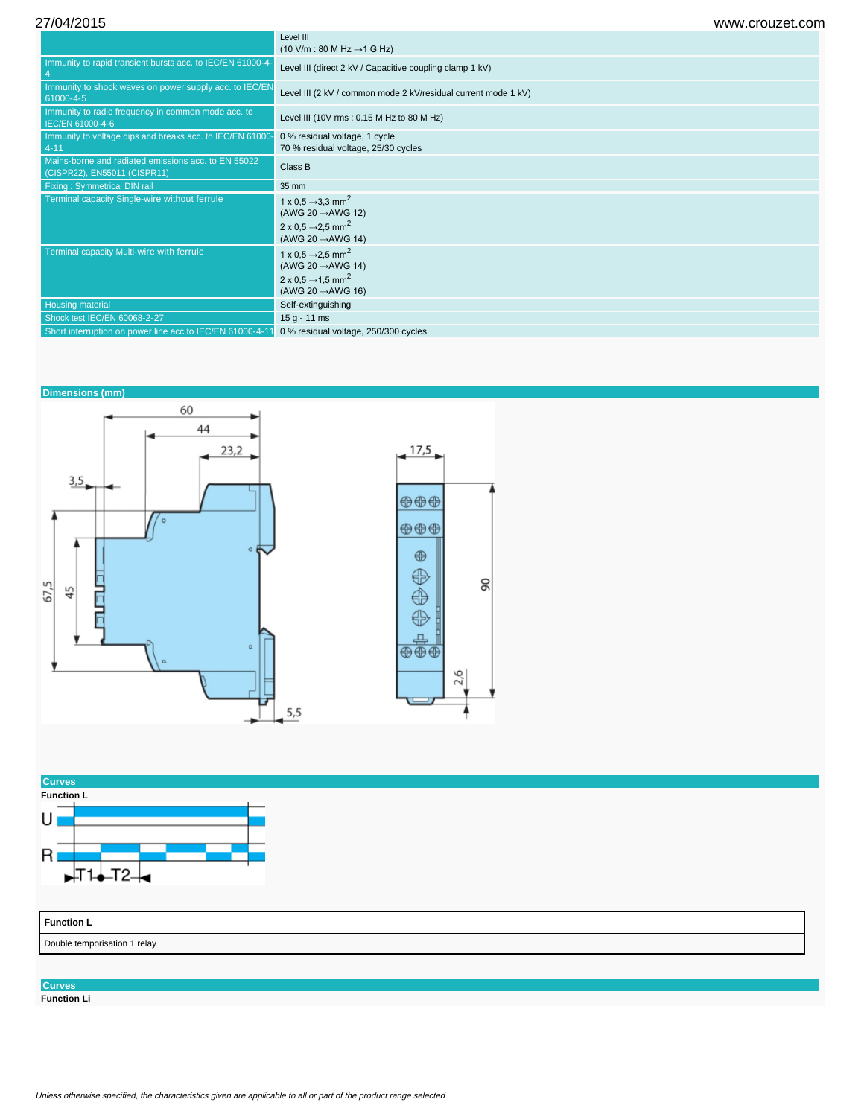27/04/2015 www.crouzet.com

|                                                                                     | Level III<br>$(10 \text{ V/m} : 80 \text{ M Hz} \rightarrow 1 \text{ G Hz})$                                                                             |
|-------------------------------------------------------------------------------------|----------------------------------------------------------------------------------------------------------------------------------------------------------|
| Immunity to rapid transient bursts acc. to IEC/EN 61000-4-                          | Level III (direct 2 kV / Capacitive coupling clamp 1 kV)                                                                                                 |
| Immunity to shock waves on power supply acc. to IEC/EN<br>61000-4-5                 | Level III (2 kV / common mode 2 kV/residual current mode 1 kV)                                                                                           |
| Immunity to radio frequency in common mode acc. to<br>IEC/EN 61000-4-6              | Level III (10V rms: 0.15 M Hz to 80 M Hz)                                                                                                                |
| Immunity to voltage dips and breaks acc. to IEC/EN 61000-<br>$4 - 11$               | 0 % residual voltage, 1 cycle<br>70 % residual voltage, 25/30 cycles                                                                                     |
| Mains-borne and radiated emissions acc. to EN 55022<br>(CISPR22), EN55011 (CISPR11) | Class B                                                                                                                                                  |
| Fixing: Symmetrical DIN rail                                                        | 35 mm                                                                                                                                                    |
| Terminal capacity Single-wire without ferrule                                       | 1 x 0.5 $\rightarrow$ 3.3 mm <sup>2</sup><br>(AWG 20 $\rightarrow$ AWG 12)<br>2 x 0.5 $\rightarrow$ 2.5 mm <sup>2</sup><br>(AWG 20 $\rightarrow$ AWG 14) |
| Terminal capacity Multi-wire with ferrule                                           | 1 x 0.5 $\rightarrow$ 2.5 mm <sup>2</sup><br>(AWG 20 $\rightarrow$ AWG 14)<br>2 x 0.5 $\rightarrow$ 1.5 mm <sup>2</sup><br>(AWG 20 $\rightarrow$ AWG 16) |
| <b>Housing material</b>                                                             | Self-extinguishing                                                                                                                                       |
| Shock test IEC/EN 60068-2-27                                                        | $15 g - 11 ms$                                                                                                                                           |
| Short interruption on power line acc to IEC/EN 61000-4-11                           | 0 % residual voltage, 250/300 cycles                                                                                                                     |





**Curves**